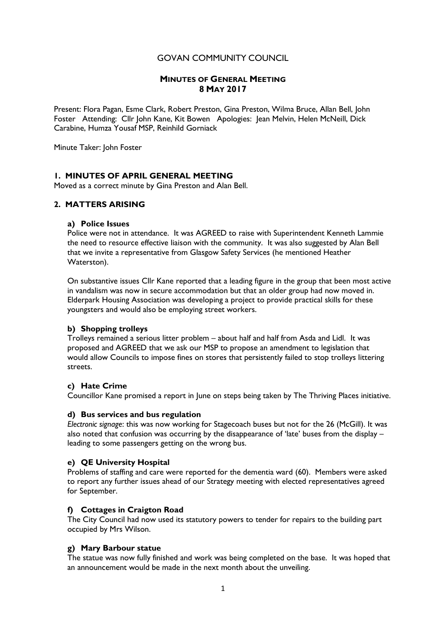# GOVAN COMMUNITY COUNCIL

## MINUTES OF GENERAL MEETING 8 MAY 2017

Present: Flora Pagan, Esme Clark, Robert Preston, Gina Preston, Wilma Bruce, Allan Bell, John Foster Attending: Cllr John Kane, Kit Bowen Apologies: Jean Melvin, Helen McNeill, Dick Carabine, Humza Yousaf MSP, Reinhild Gorniack

Minute Taker: John Foster

# 1. MINUTES OF APRIL GENERAL MEETING

Moved as a correct minute by Gina Preston and Alan Bell.

### 2. MATTERS ARISING

#### a) Police Issues

Police were not in attendance. It was AGREED to raise with Superintendent Kenneth Lammie the need to resource effective liaison with the community. It was also suggested by Alan Bell that we invite a representative from Glasgow Safety Services (he mentioned Heather Waterston).

On substantive issues Cllr Kane reported that a leading figure in the group that been most active in vandalism was now in secure accommodation but that an older group had now moved in. Elderpark Housing Association was developing a project to provide practical skills for these youngsters and would also be employing street workers.

#### b) Shopping trolleys

Trolleys remained a serious litter problem – about half and half from Asda and Lidl. It was proposed and AGREED that we ask our MSP to propose an amendment to legislation that would allow Councils to impose fines on stores that persistently failed to stop trolleys littering streets.

#### c) Hate Crime

Councillor Kane promised a report in June on steps being taken by The Thriving Places initiative.

#### d) Bus services and bus regulation

Electronic signage: this was now working for Stagecoach buses but not for the 26 (McGill). It was also noted that confusion was occurring by the disappearance of 'late' buses from the display – leading to some passengers getting on the wrong bus.

#### e) QE University Hospital

Problems of staffing and care were reported for the dementia ward (60). Members were asked to report any further issues ahead of our Strategy meeting with elected representatives agreed for September.

#### f) Cottages in Craigton Road

The City Council had now used its statutory powers to tender for repairs to the building part occupied by Mrs Wilson.

#### g) Mary Barbour statue

The statue was now fully finished and work was being completed on the base. It was hoped that an announcement would be made in the next month about the unveiling.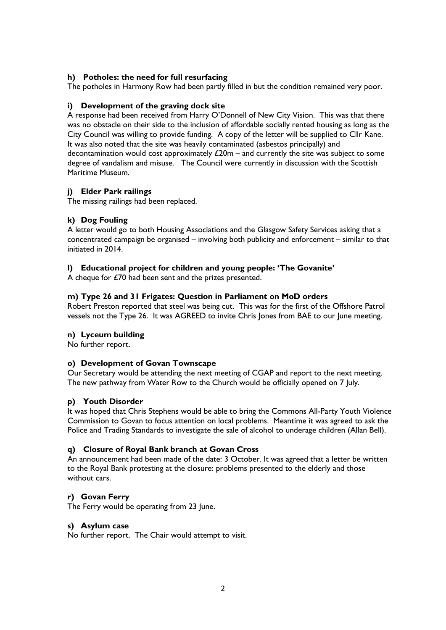## h) Potholes: the need for full resurfacing

The potholes in Harmony Row had been partly filled in but the condition remained very poor.

#### i) Development of the graving dock site

A response had been received from Harry O'Donnell of New City Vision. This was that there was no obstacle on their side to the inclusion of affordable socially rented housing as long as the City Council was willing to provide funding. A copy of the letter will be supplied to Cllr Kane. It was also noted that the site was heavily contaminated (asbestos principally) and decontamination would cost approximately  $£20m -$  and currently the site was subject to some degree of vandalism and misuse. The Council were currently in discussion with the Scottish Maritime Museum.

#### j) Elder Park railings

The missing railings had been replaced.

#### k) Dog Fouling

A letter would go to both Housing Associations and the Glasgow Safety Services asking that a concentrated campaign be organised – involving both publicity and enforcement – similar to that initiated in 2014.

#### l) Educational project for children and young people: 'The Govanite'

A cheque for £70 had been sent and the prizes presented.

#### m) Type 26 and 31 Frigates: Question in Parliament on MoD orders

Robert Preston reported that steel was being cut. This was for the first of the Offshore Patrol vessels not the Type 26. It was AGREED to invite Chris Jones from BAE to our June meeting.

#### n) Lyceum building

No further report.

### o) Development of Govan Townscape

Our Secretary would be attending the next meeting of CGAP and report to the next meeting. The new pathway from Water Row to the Church would be officially opened on 7 July.

#### p) Youth Disorder

It was hoped that Chris Stephens would be able to bring the Commons All-Party Youth Violence Commission to Govan to focus attention on local problems. Meantime it was agreed to ask the Police and Trading Standards to investigate the sale of alcohol to underage children (Allan Bell).

#### q) Closure of Royal Bank branch at Govan Cross

An announcement had been made of the date: 3 October. It was agreed that a letter be written to the Royal Bank protesting at the closure: problems presented to the elderly and those without cars.

#### r) Govan Ferry

The Ferry would be operating from 23 June.

#### s) Asylum case

No further report. The Chair would attempt to visit.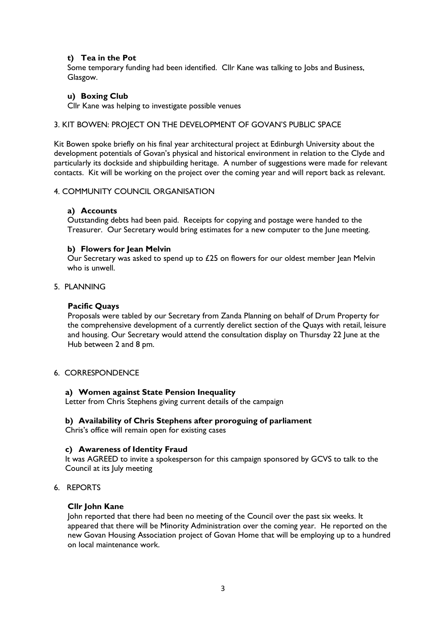## t) Tea in the Pot

Some temporary funding had been identified. Cllr Kane was talking to Jobs and Business, Glasgow.

#### u) Boxing Club

Cllr Kane was helping to investigate possible venues

#### 3. KIT BOWEN: PROJECT ON THE DEVELOPMENT OF GOVAN'S PUBLIC SPACE

Kit Bowen spoke briefly on his final year architectural project at Edinburgh University about the development potentials of Govan's physical and historical environment in relation to the Clyde and particularly its dockside and shipbuilding heritage. A number of suggestions were made for relevant contacts. Kit will be working on the project over the coming year and will report back as relevant.

### 4. COMMUNITY COUNCIL ORGANISATION

# a) Accounts

Outstanding debts had been paid. Receipts for copying and postage were handed to the Treasurer. Our Secretary would bring estimates for a new computer to the June meeting.

#### b) Flowers for Jean Melvin

Our Secretary was asked to spend up to  $£25$  on flowers for our oldest member lean Melvin who is unwell.

#### 5. PLANNING

### Pacific Quays

 Proposals were tabled by our Secretary from Zanda Planning on behalf of Drum Property for the comprehensive development of a currently derelict section of the Quays with retail, leisure and housing. Our Secretary would attend the consultation display on Thursday 22 June at the Hub between 2 and 8 pm.

# 6. CORRESPONDENCE

#### a) Women against State Pension Inequality

Letter from Chris Stephens giving current details of the campaign

#### b) Availability of Chris Stephens after proroguing of parliament

Chris's office will remain open for existing cases

#### c) Awareness of Identity Fraud

It was AGREED to invite a spokesperson for this campaign sponsored by GCVS to talk to the Council at its July meeting

# 6. REPORTS

#### Cllr John Kane

 John reported that there had been no meeting of the Council over the past six weeks. It appeared that there will be Minority Administration over the coming year. He reported on the new Govan Housing Association project of Govan Home that will be employing up to a hundred on local maintenance work.